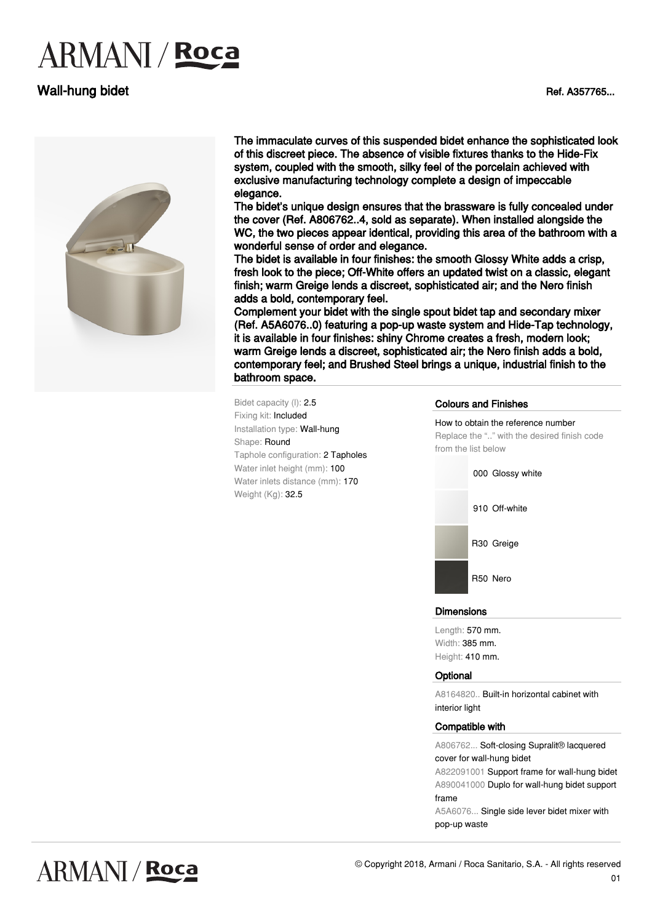# **ARMANI** / Roca

### Wall-hung bidet **National State of A357765...** National Ref. A357765...



The immaculate curves of this suspended bidet enhance the sophisticated look of this discreet piece. The absence of visible fixtures thanks to the Hide-Fix system, coupled with the smooth, silky feel of the porcelain achieved with exclusive manufacturing technology complete a design of impeccable elegance.

The bidet's unique design ensures that the brassware is fully concealed under the cover (Ref. A806762..4, sold as separate). When installed alongside the WC, the two pieces appear identical, providing this area of the bathroom with a wonderful sense of order and elegance.

The bidet is available in four finishes: the smooth Glossy White adds a crisp, fresh look to the piece; Off-White offers an updated twist on a classic, elegant finish; warm Greige lends a discreet, sophisticated air; and the Nero finish adds a bold, contemporary feel.

Complement your bidet with the single spout bidet tap and secondary mixer (Ref. A5A6076..0) featuring a pop-up waste system and Hide-Tap technology, it is available in four finishes: shiny Chrome creates a fresh, modern look; warm Greige lends a discreet, sophisticated air; the Nero finish adds a bold, contemporary feel; and Brushed Steel brings a unique, industrial finish to the bathroom space.

Bidet capacity (l): 2.5 Fixing kit: Included Installation type: Wall-hung Shape: Round Taphole configuration: 2 Tapholes Water inlet height (mm): 100 Water inlets distance (mm): 170 Weight (Kg): 32.5

#### Colours and Finishes



#### **Dimensions**

Length: 570 mm. Width: 385 mm. Height: 410 mm.

#### **Optional**

A8164820.. Built-in horizontal cabinet with interior light

#### Compatible with

A806762... Soft-closing Supralit® lacquered cover for wall-hung bidet

A822091001 Support frame for wall-hung bidet A890041000 Duplo for wall-hung bidet support frame

A5A6076... Single side lever bidet mixer with pop-up waste



## **ARMANI / Roca**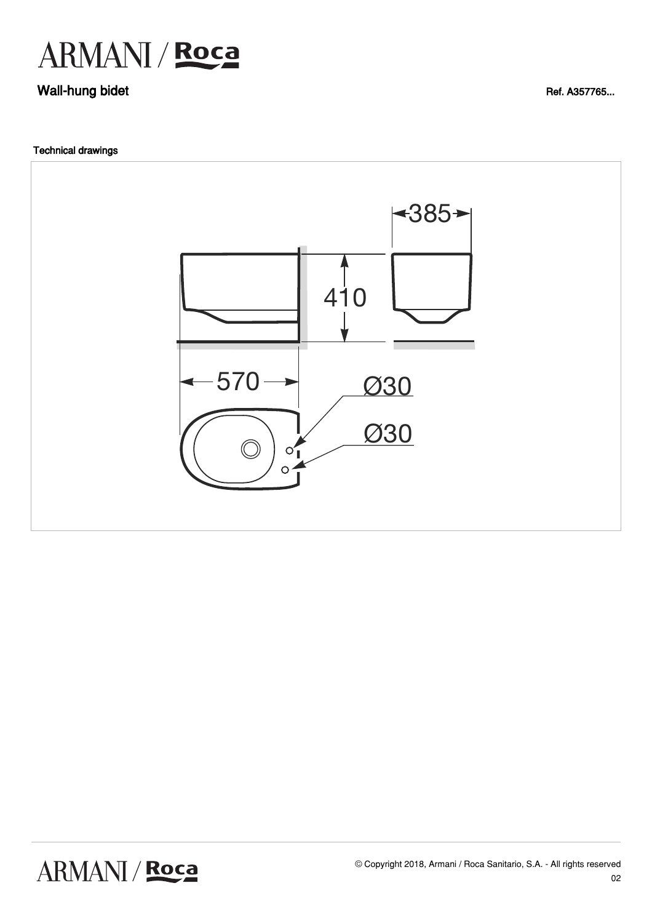

### Wall-hung bidet

**Technical drawings** 



Ref. A357765...